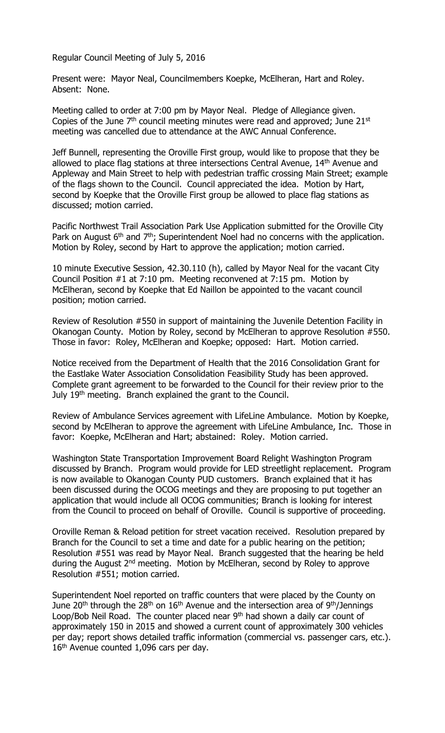Regular Council Meeting of July 5, 2016

Present were: Mayor Neal, Councilmembers Koepke, McElheran, Hart and Roley. Absent: None.

Meeting called to order at 7:00 pm by Mayor Neal. Pledge of Allegiance given. Copies of the June  $7<sup>th</sup>$  council meeting minutes were read and approved; June 21st meeting was cancelled due to attendance at the AWC Annual Conference.

Jeff Bunnell, representing the Oroville First group, would like to propose that they be allowed to place flag stations at three intersections Central Avenue, 14<sup>th</sup> Avenue and Appleway and Main Street to help with pedestrian traffic crossing Main Street; example of the flags shown to the Council. Council appreciated the idea. Motion by Hart, second by Koepke that the Oroville First group be allowed to place flag stations as discussed; motion carried.

Pacific Northwest Trail Association Park Use Application submitted for the Oroville City Park on August  $6<sup>th</sup>$  and  $7<sup>th</sup>$ ; Superintendent Noel had no concerns with the application. Motion by Roley, second by Hart to approve the application; motion carried.

10 minute Executive Session, 42.30.110 (h), called by Mayor Neal for the vacant City Council Position #1 at 7:10 pm. Meeting reconvened at 7:15 pm. Motion by McElheran, second by Koepke that Ed Naillon be appointed to the vacant council position; motion carried.

Review of Resolution #550 in support of maintaining the Juvenile Detention Facility in Okanogan County. Motion by Roley, second by McElheran to approve Resolution #550. Those in favor: Roley, McElheran and Koepke; opposed: Hart. Motion carried.

Notice received from the Department of Health that the 2016 Consolidation Grant for the Eastlake Water Association Consolidation Feasibility Study has been approved. Complete grant agreement to be forwarded to the Council for their review prior to the July 19<sup>th</sup> meeting. Branch explained the grant to the Council.

Review of Ambulance Services agreement with LifeLine Ambulance. Motion by Koepke, second by McElheran to approve the agreement with LifeLine Ambulance, Inc. Those in favor: Koepke, McElheran and Hart; abstained: Roley. Motion carried.

Washington State Transportation Improvement Board Relight Washington Program discussed by Branch. Program would provide for LED streetlight replacement. Program is now available to Okanogan County PUD customers. Branch explained that it has been discussed during the OCOG meetings and they are proposing to put together an application that would include all OCOG communities; Branch is looking for interest from the Council to proceed on behalf of Oroville. Council is supportive of proceeding.

Oroville Reman & Reload petition for street vacation received. Resolution prepared by Branch for the Council to set a time and date for a public hearing on the petition; Resolution #551 was read by Mayor Neal. Branch suggested that the hearing be held during the August 2<sup>nd</sup> meeting. Motion by McElheran, second by Roley to approve Resolution #551; motion carried.

Superintendent Noel reported on traffic counters that were placed by the County on June 20<sup>th</sup> through the 28<sup>th</sup> on 16<sup>th</sup> Avenue and the intersection area of 9<sup>th</sup>/Jennings Loop/Bob Neil Road. The counter placed near 9<sup>th</sup> had shown a daily car count of approximately 150 in 2015 and showed a current count of approximately 300 vehicles per day; report shows detailed traffic information (commercial vs. passenger cars, etc.). 16<sup>th</sup> Avenue counted 1,096 cars per day.